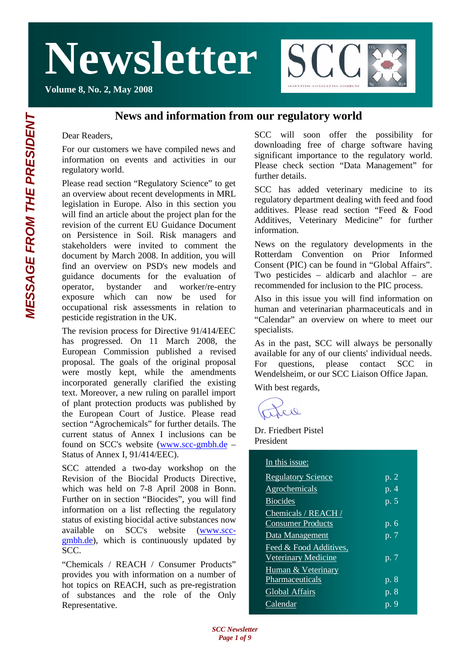**Volume 8, No. 2, May 2008**



#### **News and information from our regulatory world**

Dear Readers,

For our customers we have compiled news and information on events and activities in our regulatory world.

Please read section "Regulatory Science" to get an overview about recent developments in MRL legislation in Europe. Also in this section you will find an article about the project plan for the revision of the current EU Guidance Document on Persistence in Soil. Risk managers and stakeholders were invited to comment the document by March 2008. In addition, you will find an overview on PSD's new models and guidance documents for the evaluation of operator, bystander and worker/re-entry exposure which can now be used for occupational risk assessments in relation to pesticide registration in the UK.

The revision process for Directive 91/414/EEC has progressed. On 11 March 2008, the European Commission published a revised proposal. The goals of the original proposal were mostly kept, while the amendments incorporated generally clarified the existing text. Moreover, a new ruling on parallel import of plant protection products was published by the European Court of Justice. Please read section "Agrochemicals" for further details. The current status of Annex I inclusions can be found on SCC's website (www.scc-gmbh.de – Status of Annex I, 91/414/EEC).

SCC attended a two-day workshop on the Revision of the Biocidal Products Directive, which was held on 7-8 April 2008 in Bonn. Further on in section "Biocides", you will find information on a list reflecting the regulatory status of existing biocidal active substances now available on SCC's website (www.sccgmbh.de), which is continuously updated by  $SCC$ 

"Chemicals / REACH / Consumer Products" provides you with information on a number of hot topics on REACH, such as pre-registration of substances and the role of the Only Representative.

SCC will soon offer the possibility for downloading free of charge software having significant importance to the regulatory world. Please check section "Data Management" for further details.

SCC has added veterinary medicine to its regulatory department dealing with feed and food additives. Please read section "Feed & Food Additives, Veterinary Medicine" for further information.

News on the regulatory developments in the Rotterdam Convention on Prior Informed Consent (PIC) can be found in "Global Affairs". Two pesticides – aldicarb and alachlor – are recommended for inclusion to the PIC process.

Also in this issue you will find information on human and veterinarian pharmaceuticals and in "Calendar" an overview on where to meet our specialists.

As in the past, SCC will always be personally available for any of our clients' individual needs. For questions, please contact SCC in Wendelsheim, or our SCC Liaison Office Japan.

With best regards,

tre

Dr. Friedbert Pistel President

| In this issue:             |                      |
|----------------------------|----------------------|
| <b>Regulatory Science</b>  | p. $2$               |
| Agrochemicals              | p. 4                 |
| <b>Biocides</b>            | p. 5                 |
| Chemicals / REACH /        |                      |
| <b>Consumer Products</b>   | $\overline{p}$ . 6   |
| Data Management            | p. 7                 |
| Feed & Food Additives,     |                      |
| <b>Veterinary Medicine</b> | p. 7                 |
| Human & Veterinary         |                      |
| Pharmaceuticals            | p. 8                 |
| Global Affairs             | $\overline{p}$ . $8$ |
| Calendar                   | p. 9                 |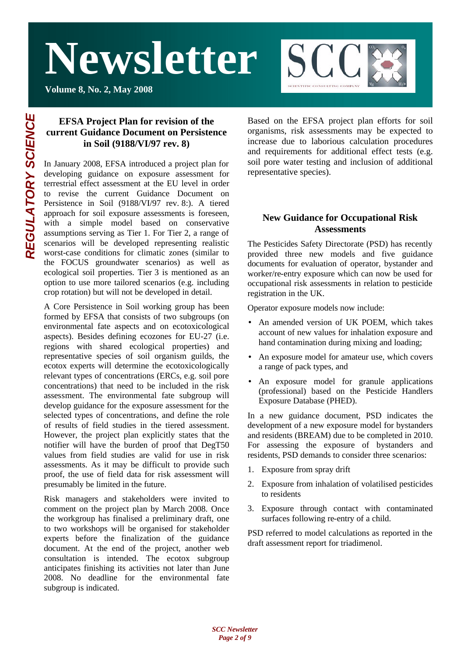**Volume 8, No. 2, May 2008**



#### **EFSA Project Plan for revision of the current Guidance Document on Persistence in Soil (9188/VI/97 rev. 8)**

In January 2008, EFSA introduced a project plan for developing guidance on exposure assessment for terrestrial effect assessment at the EU level in order to revise the current Guidance Document on Persistence in Soil (9188/VI/97 rev. 8:). A tiered approach for soil exposure assessments is foreseen, with a simple model based on conservative assumptions serving as Tier 1. For Tier 2, a range of scenarios will be developed representing realistic worst-case conditions for climatic zones (similar to the FOCUS groundwater scenarios) as well as ecological soil properties. Tier 3 is mentioned as an option to use more tailored scenarios (e.g. including crop rotation) but will not be developed in detail.

A Core Persistence in Soil working group has been formed by EFSA that consists of two subgroups (on environmental fate aspects and on ecotoxicological aspects). Besides defining ecozones for EU-27 (i.e. regions with shared ecological properties) and representative species of soil organism guilds, the ecotox experts will determine the ecotoxicologically relevant types of concentrations (ERCs, e.g. soil pore concentrations) that need to be included in the risk assessment. The environmental fate subgroup will develop guidance for the exposure assessment for the selected types of concentrations, and define the role of results of field studies in the tiered assessment. However, the project plan explicitly states that the notifier will have the burden of proof that DegT50 values from field studies are valid for use in risk assessments. As it may be difficult to provide such proof, the use of field data for risk assessment will presumably be limited in the future.

Risk managers and stakeholders were invited to comment on the project plan by March 2008. Once the workgroup has finalised a preliminary draft, one to two workshops will be organised for stakeholder experts before the finalization of the guidance document. At the end of the project, another web consultation is intended. The ecotox subgroup anticipates finishing its activities not later than June 2008. No deadline for the environmental fate subgroup is indicated.

Based on the EFSA project plan efforts for soil organisms, risk assessments may be expected to increase due to laborious calculation procedures and requirements for additional effect tests (e.g. soil pore water testing and inclusion of additional representative species).

#### **New Guidance for Occupational Risk Assessments**

The Pesticides Safety Directorate (PSD) has recently provided three new models and five guidance documents for evaluation of operator, bystander and worker/re-entry exposure which can now be used for occupational risk assessments in relation to pesticide registration in the UK.

Operator exposure models now include:

- An amended version of UK POEM, which takes account of new values for inhalation exposure and hand contamination during mixing and loading;
- An exposure model for amateur use, which covers a range of pack types, and
- An exposure model for granule applications (professional) based on the Pesticide Handlers Exposure Database (PHED).

In a new guidance document, PSD indicates the development of a new exposure model for bystanders and residents (BREAM) due to be completed in 2010. For assessing the exposure of bystanders and residents, PSD demands to consider three scenarios:

- 1. Exposure from spray drift
- 2. Exposure from inhalation of volatilised pesticides to residents
- 3. Exposure through contact with contaminated surfaces following re-entry of a child.

PSD referred to model calculations as reported in the draft assessment report for triadimenol.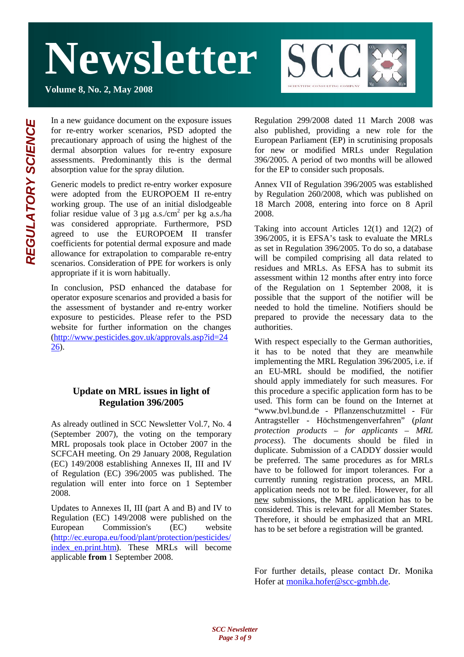**Volume 8, No. 2, May 2008**



In a new guidance document on the exposure issues for re-entry worker scenarios, PSD adopted the precautionary approach of using the highest of the dermal absorption values for re-entry exposure assessments. Predominantly this is the dermal absorption value for the spray dilution.

Generic models to predict re-entry worker exposure were adopted from the EUROPOEM II re-entry working group. The use of an initial dislodgeable foliar residue value of  $3 \mu$ g a.s./cm<sup>2</sup> per kg a.s./ha was considered appropriate. Furthermore, PSD agreed to use the EUROPOEM II transfer coefficients for potential dermal exposure and made allowance for extrapolation to comparable re-entry scenarios. Consideration of PPE for workers is only appropriate if it is worn habitually.

In conclusion, PSD enhanced the database for operator exposure scenarios and provided a basis for the assessment of bystander and re-entry worker exposure to pesticides. Please refer to the PSD website for further information on the changes (http://www.pesticides.gov.uk/approvals.asp?id=24 26).

#### **Update on MRL issues in light of Regulation 396/2005**

As already outlined in SCC Newsletter Vol.7, No. 4 (September 2007), the voting on the temporary MRL proposals took place in October 2007 in the SCFCAH meeting. On 29 January 2008, Regulation (EC) 149/2008 establishing Annexes II, III and IV of Regulation (EC) 396/2005 was published. The regulation will enter into force on 1 September 2008.

Updates to Annexes II, III (part A and B) and IV to Regulation (EC) 149/2008 were published on the European Commission's (EC) website (http://ec.europa.eu/food/plant/protection/pesticides/ index\_en.print.htm). These MRLs will become applicable **from** 1 September 2008.

Regulation 299/2008 dated 11 March 2008 was also published, providing a new role for the European Parliament (EP) in scrutinising proposals for new or modified MRLs under Regulation 396/2005. A period of two months will be allowed for the EP to consider such proposals.

Annex VII of Regulation 396/2005 was established by Regulation 260/2008, which was published on 18 March 2008, entering into force on 8 April 2008.

Taking into account Articles 12(1) and 12(2) of 396/2005, it is EFSA's task to evaluate the MRLs as set in Regulation 396/2005. To do so, a database will be compiled comprising all data related to residues and MRLs. As EFSA has to submit its assessment within 12 months after entry into force of the Regulation on 1 September 2008, it is possible that the support of the notifier will be needed to hold the timeline. Notifiers should be prepared to provide the necessary data to the authorities.

With respect especially to the German authorities, it has to be noted that they are meanwhile implementing the MRL Regulation 396/2005, i.e. if an EU-MRL should be modified, the notifier should apply immediately for such measures. For this procedure a specific application form has to be used. This form can be found on the Internet at "www.bvl.bund.de - Pflanzenschutzmittel - Für Antragsteller - Höchstmengenverfahren" (*plant protection products – for applicants – MRL process*). The documents should be filed in duplicate. Submission of a CADDY dossier would be preferred. The same procedures as for MRLs have to be followed for import tolerances. For a currently running registration process, an MRL application needs not to be filed. However, for all new submissions, the MRL application has to be considered. This is relevant for all Member States. Therefore, it should be emphasized that an MRL has to be set before a registration will be granted.

For further details, please contact Dr. Monika Hofer at monika.hofer@scc-gmbh.de.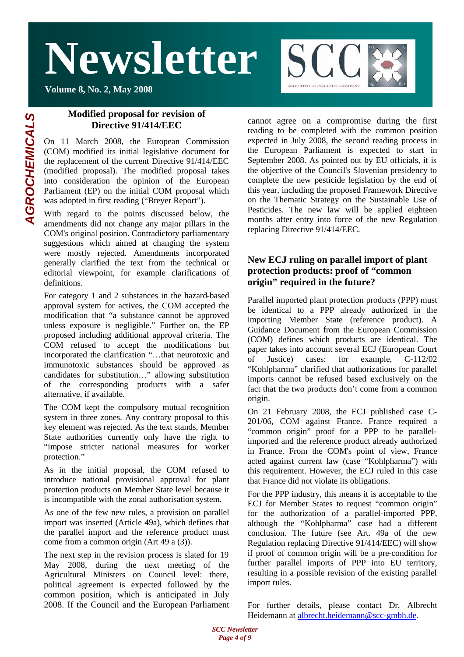**Volume 8, No. 2, May 2008**



### **Modified proposal for revision of**

**Directive 91/414/EEC**

On 11 March 2008, the European Commission (COM) modified its initial legislative document for the replacement of the current Directive 91/414/EEC (modified proposal). The modified proposal takes into consideration the opinion of the European Parliament (EP) on the initial COM proposal which was adopted in first reading ("Breyer Report").

With regard to the points discussed below, the amendments did not change any major pillars in the COM's original position. Contradictory parliamentary suggestions which aimed at changing the system were mostly rejected. Amendments incorporated generally clarified the text from the technical or editorial viewpoint, for example clarifications of definitions.

For category 1 and 2 substances in the hazard-based approval system for actives, the COM accepted the modification that "a substance cannot be approved unless exposure is negligible." Further on, the EP proposed including additional approval criteria. The COM refused to accept the modifications but incorporated the clarification "…that neurotoxic and immunotoxic substances should be approved as candidates for substitution…" allowing substitution of the corresponding products with a safer alternative, if available.

The COM kept the compulsory mutual recognition system in three zones. Any contrary proposal to this key element was rejected. As the text stands, Member State authorities currently only have the right to "impose stricter national measures for worker protection."

As in the initial proposal, the COM refused to introduce national provisional approval for plant protection products on Member State level because it is incompatible with the zonal authorisation system.

As one of the few new rules, a provision on parallel import was inserted (Article 49a), which defines that the parallel import and the reference product must come from a common origin (Art 49 a (3)).

The next step in the revision process is slated for 19 May 2008, during the next meeting of the Agricultural Ministers on Council level: there, political agreement is expected followed by the common position, which is anticipated in July 2008. If the Council and the European Parliament cannot agree on a compromise during the first reading to be completed with the common position expected in July 2008, the second reading process in the European Parliament is expected to start in September 2008. As pointed out by EU officials, it is the objective of the Council's Slovenian presidency to complete the new pesticide legislation by the end of this year, including the proposed Framework Directive on the Thematic Strategy on the Sustainable Use of Pesticides. The new law will be applied eighteen months after entry into force of the new Regulation replacing Directive 91/414/EEC.

#### **New ECJ ruling on parallel import of plant protection products: proof of "common origin" required in the future?**

Parallel imported plant protection products (PPP) must be identical to a PPP already authorized in the importing Member State (reference product). A Guidance Document from the European Commission (COM) defines which products are identical. The paper takes into account several ECJ (European Court of Justice) cases: for example, C-112/02 "Kohlpharma" clarified that authorizations for parallel imports cannot be refused based exclusively on the fact that the two products don't come from a common origin.

On 21 February 2008, the ECJ published case C-201/06, COM against France. France required a "common origin" proof for a PPP to be parallelimported and the reference product already authorized in France. From the COM's point of view, France acted against current law (case "Kohlpharma") with this requirement. However, the ECJ ruled in this case that France did not violate its obligations.

For the PPP industry, this means it is acceptable to the ECJ for Member States to request "common origin" for the authorization of a parallel-imported PPP, although the "Kohlpharma" case had a different conclusion. The future (see Art. 49a of the new Regulation replacing Directive 91/414/EEC) will show if proof of common origin will be a pre-condition for further parallel imports of PPP into EU territory, resulting in a possible revision of the existing parallel import rules.

For further details, please contact Dr. Albrecht Heidemann at albrecht.heidemann@scc-gmbh.de.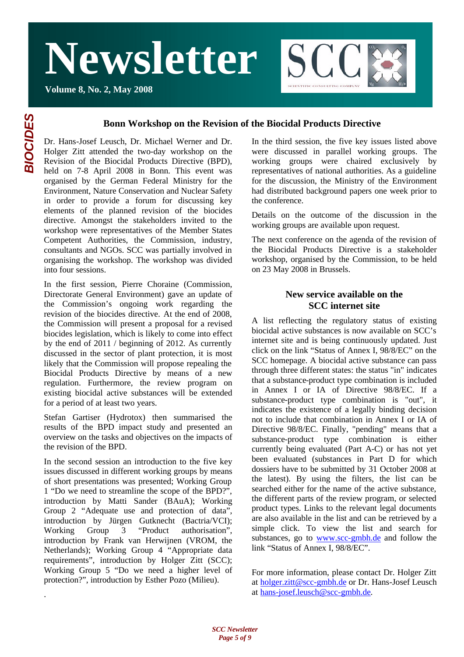**Volume 8, No. 2, May 2008**



#### **Bonn Workshop on the Revision of the Biocidal Products Directive**

Dr. Hans-Josef Leusch, Dr. Michael Werner and Dr. Holger Zitt attended the two-day workshop on the Revision of the Biocidal Products Directive (BPD), held on 7-8 April 2008 in Bonn. This event was organised by the German Federal Ministry for the Environment, Nature Conservation and Nuclear Safety in order to provide a forum for discussing key elements of the planned revision of the biocides directive. Amongst the stakeholders invited to the workshop were representatives of the Member States Competent Authorities, the Commission, industry, consultants and NGOs. SCC was partially involved in organising the workshop. The workshop was divided into four sessions.

In the first session, Pierre Choraine (Commission, Directorate General Environment) gave an update of the Commission's ongoing work regarding the revision of the biocides directive. At the end of 2008, the Commission will present a proposal for a revised biocides legislation, which is likely to come into effect by the end of 2011 / beginning of 2012. As currently discussed in the sector of plant protection, it is most likely that the Commission will propose repealing the Biocidal Products Directive by means of a new regulation. Furthermore, the review program on existing biocidal active substances will be extended for a period of at least two years.

Stefan Gartiser (Hydrotox) then summarised the results of the BPD impact study and presented an overview on the tasks and objectives on the impacts of the revision of the BPD.

In the second session an introduction to the five key issues discussed in different working groups by means of short presentations was presented; Working Group 1 "Do we need to streamline the scope of the BPD?", introduction by Matti Sander (BAuA); Working Group 2 "Adequate use and protection of data", introduction by Jürgen Gutknecht (Bactria/VCI); Working Group 3 "Product authorisation", introduction by Frank van Herwijnen (VROM, the Netherlands); Working Group 4 "Appropriate data requirements", introduction by Holger Zitt (SCC); Working Group 5 "Do we need a higher level of protection?", introduction by Esther Pozo (Milieu).

In the third session, the five key issues listed above were discussed in parallel working groups. The working groups were chaired exclusively by representatives of national authorities. As a guideline for the discussion, the Ministry of the Environment had distributed background papers one week prior to the conference.

Details on the outcome of the discussion in the working groups are available upon request.

The next conference on the agenda of the revision of the Biocidal Products Directive is a stakeholder workshop, organised by the Commission, to be held on 23 May 2008 in Brussels.

#### **New service available on the SCC internet site**

A list reflecting the regulatory status of existing biocidal active substances is now available on SCC's internet site and is being continuously updated. Just click on the link "Status of Annex I, 98/8/EC" on the SCC homepage. A biocidal active substance can pass through three different states: the status "in" indicates that a substance-product type combination is included in Annex I or IA of Directive 98/8/EC. If a substance-product type combination is "out", it indicates the existence of a legally binding decision not to include that combination in Annex I or IA of Directive 98/8/EC. Finally, "pending" means that a substance-product type combination is either currently being evaluated (Part A-C) or has not yet been evaluated (substances in Part D for which dossiers have to be submitted by 31 October 2008 at the latest). By using the filters, the list can be searched either for the name of the active substance, the different parts of the review program, or selected product types. Links to the relevant legal documents are also available in the list and can be retrieved by a simple click. To view the list and search for substances, go to www.scc-gmbh.de and follow the link "Status of Annex I, 98/8/EC".

For more information, please contact Dr. Holger Zitt at holger.zitt@scc-gmbh.de or Dr. Hans-Josef Leusch at hans-josef.leusch@scc-gmbh.de.

.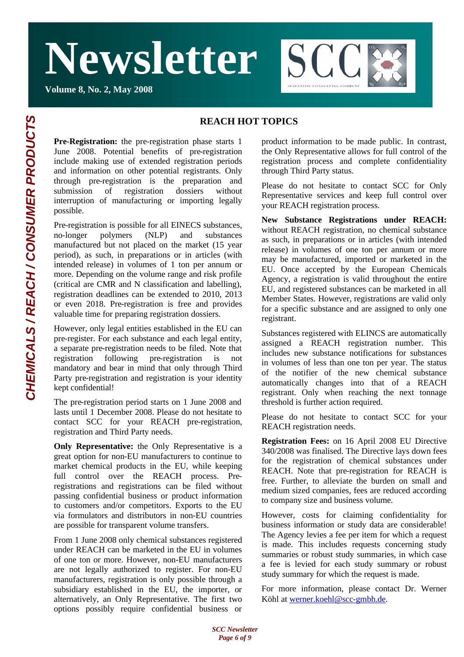**Volume 8, No. 2, May 2008**

# **SCC**

#### **REACH HOT TOPICS**

**Pre-Registration:** the pre-registration phase starts 1 June 2008. Potential benefits of pre-registration include making use of extended registration periods and information on other potential registrants. Only through pre-registration is the preparation and submission of registration dossiers without interruption of manufacturing or importing legally possible.

Pre-registration is possible for all EINECS substances, no-longer polymers (NLP) and substances manufactured but not placed on the market (15 year period), as such, in preparations or in articles (with intended release) in volumes of 1 ton per annum or more. Depending on the volume range and risk profile (critical are CMR and N classification and labelling), registration deadlines can be extended to 2010, 2013 or even 2018. Pre-registration is free and provides valuable time for preparing registration dossiers.

However, only legal entities established in the EU can pre-register. For each substance and each legal entity, a separate pre-registration needs to be filed. Note that registration following pre-registration is not mandatory and bear in mind that only through Third Party pre-registration and registration is your identity kept confidential!

The pre-registration period starts on 1 June 2008 and lasts until 1 December 2008. Please do not hesitate to contact SCC for your REACH pre-registration, registration and Third Party needs.

**Only Representative:** the Only Representative is a great option for non-EU manufacturers to continue to market chemical products in the EU, while keeping full control over the REACH process. Preregistrations and registrations can be filed without passing confidential business or product information to customers and/or competitors. Exports to the EU via formulators and distributors in non-EU countries are possible for transparent volume transfers.

From 1 June 2008 only chemical substances registered under REACH can be marketed in the EU in volumes of one ton or more. However, non-EU manufacturers are not legally authorized to register. For non-EU manufacturers, registration is only possible through a subsidiary established in the EU, the importer, or alternatively, an Only Representative. The first two options possibly require confidential business or

product information to be made public. In contrast, the Only Representative allows for full control of the registration process and complete confidentiality through Third Party status.

Please do not hesitate to contact SCC for Only Representative services and keep full control over your REACH registration process.

**New Substance Registrations under REACH:** without REACH registration, no chemical substance as such, in preparations or in articles (with intended release) in volumes of one ton per annum or more may be manufactured, imported or marketed in the EU. Once accepted by the European Chemicals Agency, a registration is valid throughout the entire EU, and registered substances can be marketed in all Member States. However, registrations are valid only for a specific substance and are assigned to only one registrant.

Substances registered with ELINCS are automatically assigned a REACH registration number. This includes new substance notifications for substances in volumes of less than one ton per year. The status of the notifier of the new chemical substance automatically changes into that of a REACH registrant. Only when reaching the next tonnage threshold is further action required.

Please do not hesitate to contact SCC for your REACH registration needs.

**Registration Fees:** on 16 April 2008 EU Directive 340/2008 was finalised. The Directive lays down fees for the registration of chemical substances under REACH. Note that pre-registration for REACH is free. Further, to alleviate the burden on small and medium sized companies, fees are reduced according to company size and business volume.

However, costs for claiming confidentiality for business information or study data are considerable! The Agency levies a fee per item for which a request is made. This includes requests concerning study summaries or robust study summaries, in which case a fee is levied for each study summary or robust study summary for which the request is made.

For more information, please contact Dr. Werner Köhl at werner.koehl@scc-gmbh.de.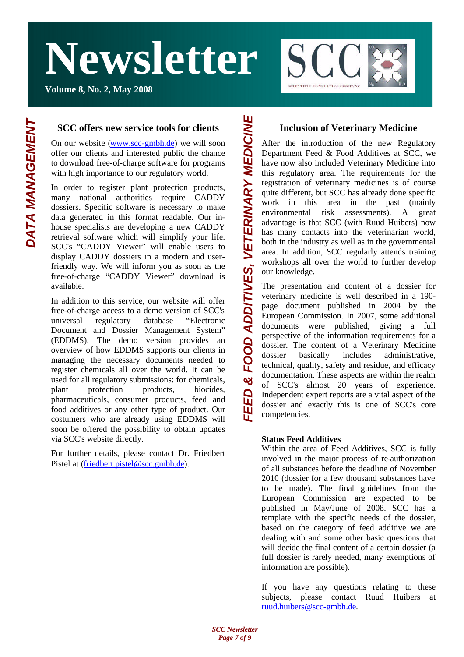**Volume 8, No. 2, May 2008**



#### **SCC offers new service tools for clients**

On our website (www.scc-gmbh.de) we will soon offer our clients and interested public the chance to download free-of-charge software for programs with high importance to our regulatory world.

In order to register plant protection products, many national authorities require CADDY dossiers. Specific software is necessary to make data generated in this format readable. Our inhouse specialists are developing a new CADDY retrieval software which will simplify your life. SCC's "CADDY Viewer" will enable users to display CADDY dossiers in a modern and userfriendly way. We will inform you as soon as the free-of-charge "CADDY Viewer" download is available.

In addition to this service, our website will offer free-of-charge access to a demo version of SCC's universal regulatory database "Electronic Document and Dossier Management System" (EDDMS). The demo version provides an overview of how EDDMS supports our clients in managing the necessary documents needed to register chemicals all over the world. It can be used for all regulatory submissions: for chemicals, plant protection products, biocides, pharmaceuticals, consumer products, feed and food additives or any other type of product. Our costumers who are already using EDDMS will soon be offered the possibility to obtain updates via SCC's website directly.

For further details, please contact Dr. Friedbert Pistel at (friedbert.pistel@scc.gmbh.de).

#### **Inclusion of Veterinary Medicine**

After the introduction of the new Regulatory Department Feed & Food Additives at SCC, we have now also included Veterinary Medicine into this regulatory area. The requirements for the registration of veterinary medicines is of course quite different, but SCC has already done specific work in this area in the past (mainly environmental risk assessments). A great advantage is that SCC (with Ruud Huibers) now has many contacts into the veterinarian world, both in the industry as well as in the governmental area. In addition, SCC regularly attends training workshops all over the world to further develop our knowledge. *FEED & FOOD ADDITIVES, VETERINARY MEDICINE*

The presentation and content of a dossier for veterinary medicine is well described in a 190 page document published in 2004 by the European Commission. In 2007, some additional documents were published, giving a full perspective of the information requirements for a dossier. The content of a Veterinary Medicine dossier basically includes administrative, technical, quality, safety and residue, and efficacy documentation. These aspects are within the realm of SCC's almost 20 years of experience. Independent expert reports are a vital aspect of the dossier and exactly this is one of SCC's core competencies.

#### **Status Feed Additives**

Within the area of Feed Additives, SCC is fully involved in the major process of re-authorization of all substances before the deadline of November 2010 (dossier for a few thousand substances have to be made). The final guidelines from the European Commission are expected to be published in May/June of 2008. SCC has a template with the specific needs of the dossier, based on the category of feed additive we are dealing with and some other basic questions that will decide the final content of a certain dossier (a full dossier is rarely needed, many exemptions of information are possible).

If you have any questions relating to these subjects, please contact Ruud Huibers at ruud.huibers@scc-gmbh.de.

DATA MANAGEMENT

EED & FOOD ADDITIVES. VETERINARY MEDICINE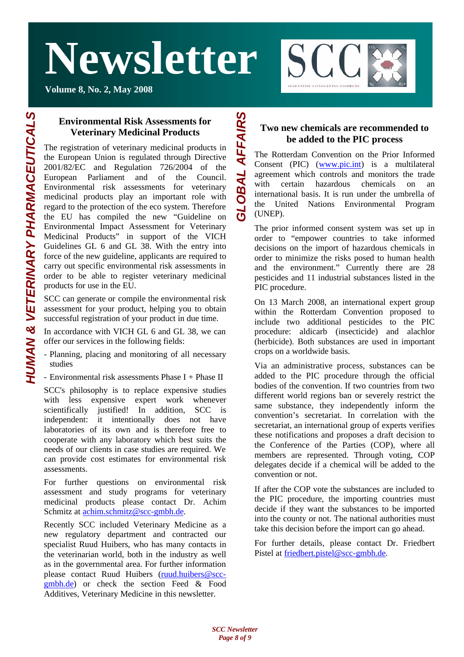**Volume 8, No. 2, May 2008**



**HUMAN & VETERINARY PHARMACEUTICALS** *HUMAN & VETERINARY PHARMACEUTICALS*

#### **Environmental Risk Assessments for Veterinary Medicinal Products**

The registration of veterinary medicinal products in the European Union is regulated through Directive 2001/82/EC and Regulation 726/2004 of the European Parliament and of the Council. Environmental risk assessments for veterinary medicinal products play an important role with regard to the protection of the eco system. Therefore the EU has compiled the new "Guideline on Environmental Impact Assessment for Veterinary Medicinal Products" in support of the VICH Guidelines GL 6 and GL 38. With the entry into force of the new guideline, applicants are required to carry out specific environmental risk assessments in order to be able to register veterinary medicinal products for use in the EU.

SCC can generate or compile the environmental risk assessment for your product, helping you to obtain successful registration of your product in due time.

In accordance with VICH GL 6 and GL 38, we can offer our services in the following fields:

- Planning, placing and monitoring of all necessary studies
- Environmental risk assessments Phase I + Phase II

SCC's philosophy is to replace expensive studies with less expensive expert work whenever scientifically justified! In addition, SCC is independent: it intentionally does not have laboratories of its own and is therefore free to cooperate with any laboratory which best suits the needs of our clients in case studies are required. We can provide cost estimates for environmental risk assessments.

For further questions on environmental risk assessment and study programs for veterinary medicinal products please contact Dr. Achim Schmitz at achim.schmitz@scc-gmbh.de.

Recently SCC included Veterinary Medicine as a new regulatory department and contracted our specialist Ruud Huibers, who has many contacts in the veterinarian world, both in the industry as well as in the governmental area. For further information please contact Ruud Huibers (ruud.huibers@sccgmbh.de) or check the section Feed & Food Additives, Veterinary Medicine in this newsletter.

#### **Two new chemicals are recommended to be added to the PIC process**

The Rotterdam Convention on the Prior Informed Consent (PIC) (www.pic.int) is a multilateral agreement which controls and monitors the trade with certain hazardous chemicals on an international basis. It is run under the umbrella of the United Nations Environmental Program (UNEP).

The prior informed consent system was set up in order to "empower countries to take informed decisions on the import of hazardous chemicals in order to minimize the risks posed to human health and the environment." Currently there are 28 pesticides and 11 industrial substances listed in the PIC procedure.

On 13 March 2008, an international expert group within the Rotterdam Convention proposed to include two additional pesticides to the PIC procedure: aldicarb (insecticide) and alachlor (herbicide). Both substances are used in important crops on a worldwide basis.

Via an administrative process, substances can be added to the PIC procedure through the official bodies of the convention. If two countries from two different world regions ban or severely restrict the same substance, they independently inform the convention's secretariat. In correlation with the secretariat, an international group of experts verifies these notifications and proposes a draft decision to the Conference of the Parties (COP), where all members are represented. Through voting, COP delegates decide if a chemical will be added to the convention or not.

If after the COP vote the substances are included to the PIC procedure, the importing countries must decide if they want the substances to be imported into the county or not. The national authorities must take this decision before the import can go ahead.

For further details, please contact Dr. Friedbert Pistel at friedbert.pistel@scc-gmbh.de.

*GLOBAL AFFAIRS*

LOBAL AFFAIRS